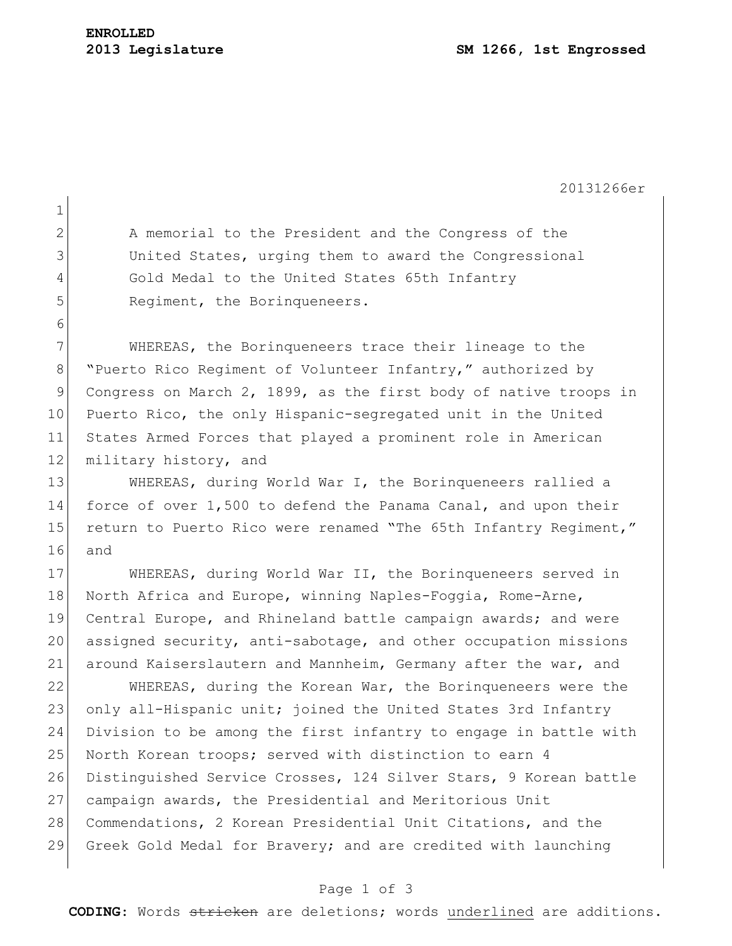20131266er 1 2 A memorial to the President and the Congress of the 3 United States, urging them to award the Congressional 4 Gold Medal to the United States 65th Infantry 5 Regiment, the Borinqueneers. 6 7 WHEREAS, the Borinqueneers trace their lineage to the 8 "Puerto Rico Regiment of Volunteer Infantry," authorized by 9 Congress on March 2, 1899, as the first body of native troops in 10 Puerto Rico, the only Hispanic-segregated unit in the United 11 States Armed Forces that played a prominent role in American 12 military history, and 13 WHEREAS, during World War I, the Borinqueneers rallied a 14 force of over 1,500 to defend the Panama Canal, and upon their 15 return to Puerto Rico were renamed "The 65th Infantry Regiment," 16 and 17 WHEREAS, during World War II, the Borinqueneers served in 18 North Africa and Europe, winning Naples-Foggia, Rome-Arne, 19 Central Europe, and Rhineland battle campaign awards; and were 20 assigned security, anti-sabotage, and other occupation missions 21 around Kaiserslautern and Mannheim, Germany after the war, and 22 WHEREAS, during the Korean War, the Borinqueneers were the 23 only all-Hispanic unit; joined the United States 3rd Infantry 24 Division to be among the first infantry to engage in battle with 25 North Korean troops; served with distinction to earn 4 26 Distinguished Service Crosses, 124 Silver Stars, 9 Korean battle 27 campaign awards, the Presidential and Meritorious Unit 28 Commendations, 2 Korean Presidential Unit Citations, and the 29 Greek Gold Medal for Bravery; and are credited with launching

## Page 1 of 3

**CODING**: Words stricken are deletions; words underlined are additions.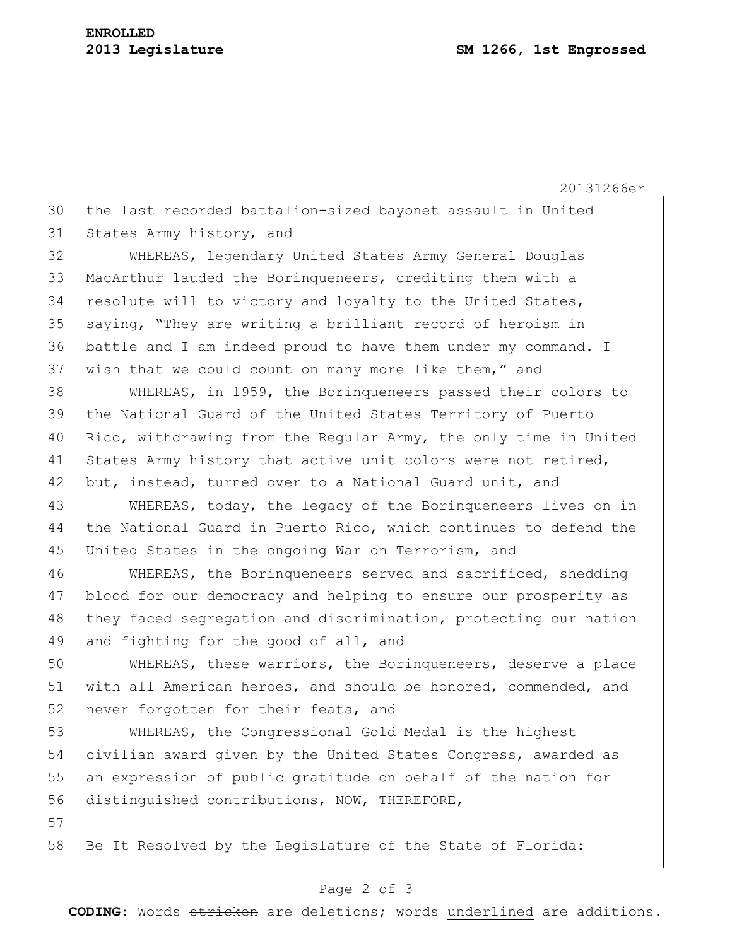20131266er 30 the last recorded battalion-sized bayonet assault in United 31 States Army history, and 32 WHEREAS, legendary United States Army General Douglas 33 MacArthur lauded the Borinqueneers, crediting them with a 34 resolute will to victory and loyalty to the United States, 35 saying, "They are writing a brilliant record of heroism in 36 battle and I am indeed proud to have them under my command. I 37 wish that we could count on many more like them," and 38 WHEREAS, in 1959, the Borinqueneers passed their colors to 39 the National Guard of the United States Territory of Puerto 40 Rico, withdrawing from the Regular Army, the only time in United 41 States Army history that active unit colors were not retired, 42 but, instead, turned over to a National Guard unit, and 43 WHEREAS, today, the legacy of the Borinqueneers lives on in 44 the National Guard in Puerto Rico, which continues to defend the 45 United States in the ongoing War on Terrorism, and 46 WHEREAS, the Borinqueneers served and sacrificed, shedding 47 blood for our democracy and helping to ensure our prosperity as 48 they faced segregation and discrimination, protecting our nation 49 and fighting for the good of all, and 50 WHEREAS, these warriors, the Borinqueneers, deserve a place 51 with all American heroes, and should be honored, commended, and 52 never forgotten for their feats, and 53 WHEREAS, the Congressional Gold Medal is the highest 54 civilian award given by the United States Congress, awarded as 55 an expression of public gratitude on behalf of the nation for 56 distinguished contributions, NOW, THEREFORE, 57

58 Be It Resolved by the Legislature of the State of Florida:

## Page 2 of 3

**CODING**: Words stricken are deletions; words underlined are additions.